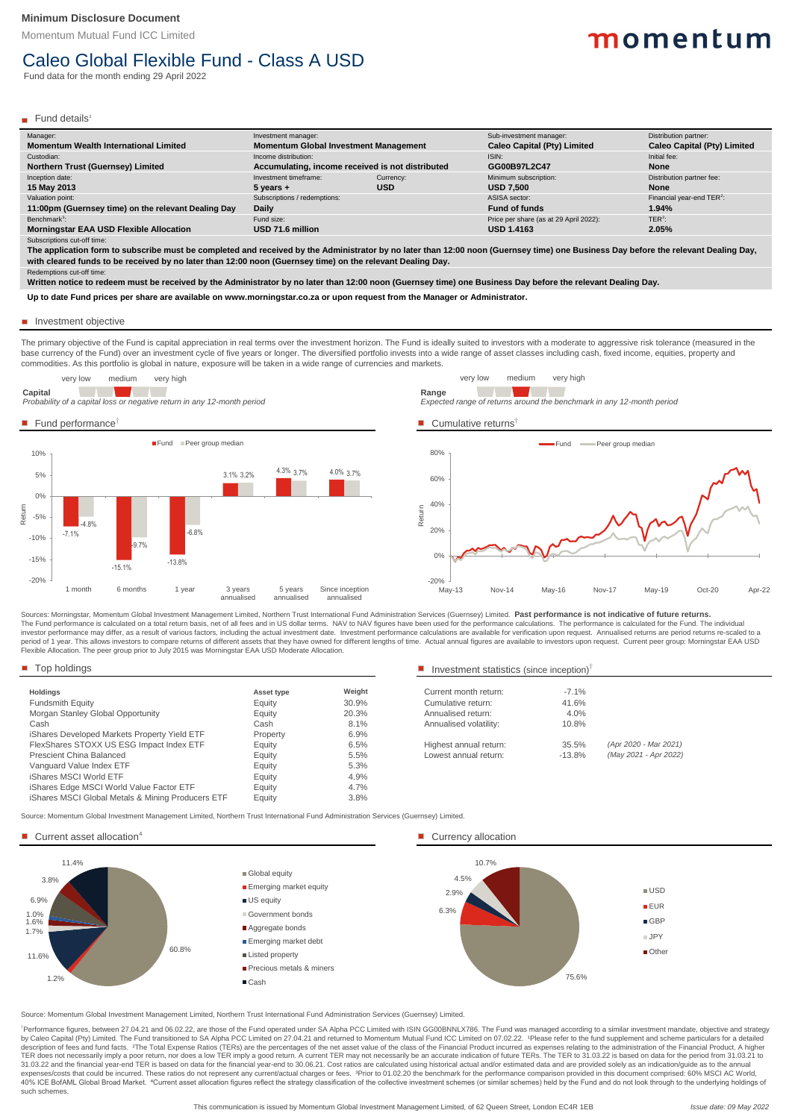Subscriptions cut-off time:

Redemptions cut-off time:

**Up to date Fund prices per share are available on www.morningstar.co.za or upon request from the Manager or Administrator.**

#### **Investment objective**

Source: Momentum Global Investment Management Limited, Northern Trust International Fund Administration Services (Guernsey) Limited.

| Manager:<br><b>Momentum Wealth International Limited</b> | Investment manager:<br><b>Momentum Global Investment Management</b>      |                         | Sub-investment manager:<br><b>Caleo Capital (Pty) Limited</b> | Distribution partner:<br><b>Caleo Capital (Pty) Limited</b> |
|----------------------------------------------------------|--------------------------------------------------------------------------|-------------------------|---------------------------------------------------------------|-------------------------------------------------------------|
| Custodian:<br><b>Northern Trust (Guernsey) Limited</b>   | Income distribution:<br>Accumulating, income received is not distributed |                         | ISIN:<br>GG00B97L2C47                                         | Initial fee:<br><b>None</b>                                 |
| Inception date:<br>15 May 2013                           | Investment timeframe:<br>$5$ years $+$                                   | Currency:<br><b>USD</b> | Minimum subscription:<br><b>USD 7,500</b>                     | Distribution partner fee:<br><b>None</b>                    |
| Valuation point:                                         | Subscriptions / redemptions:                                             |                         | ASISA sector:                                                 | Financial year-end TER <sup>2</sup> :                       |
| 11:00pm (Guernsey time) on the relevant Dealing Day      | <b>Daily</b>                                                             |                         | <b>Fund of funds</b>                                          | 1.94%                                                       |
| Benchmark <sup>3</sup> :                                 | Fund size:                                                               |                         | Price per share (as at 29 April 2022):                        | $TER2$ :                                                    |
| <b>Morningstar EAA USD Flexible Allocation</b>           | USD 71.6 million                                                         |                         | <b>USD 1.4163</b>                                             | 2.05%                                                       |
| Subceriptions out-off time:                              |                                                                          |                         |                                                               |                                                             |

Momentum Mutual Fund ICC Limited

## Caleo Global Flexible Fund - Class A USD

Fund data for the month ending 29 April 2022

#### Fund details $1$

**The application form to subscribe must be completed and received by the Administrator by no later than 12:00 noon (Guernsey time) one Business Day before the relevant Dealing Day, with cleared funds to be received by no later than 12:00 noon (Guernsey time) on the relevant Dealing Day.**

The primary objective of the Fund is capital appreciation in real terms over the investment horizon. The Fund is ideally suited to investors with a moderate to aggressive risk tolerance (measured in the base currency of the Fund) over an investment cycle of five years or longer. The diversified portfolio invests into a wide range of asset classes including cash, fixed income, equities, property and commodities. As this portfolio is global in nature, exposure will be taken in a wide range of currencies and markets.

| <b>Holdings</b>                                   | Asset type | Weight | Current month return:  | $-7.1%$  |                       |
|---------------------------------------------------|------------|--------|------------------------|----------|-----------------------|
| <b>Fundsmith Equity</b>                           | Equity     | 30.9%  | Cumulative return:     | 41.6%    |                       |
| Morgan Stanley Global Opportunity                 | Equity     | 20.3%  | Annualised return:     | 4.0%     |                       |
| Cash                                              | Cash       | 8.1%   | Annualised volatility: | 10.8%    |                       |
| iShares Developed Markets Property Yield ETF      | Property   | 6.9%   |                        |          |                       |
| FlexShares STOXX US ESG Impact Index ETF          | Equity     | 6.5%   | Highest annual return: | 35.5%    | (Apr 2020 - Mar 2021) |
| <b>Prescient China Balanced</b>                   | Equity     | 5.5%   | Lowest annual return:  | $-13.8%$ | (May 2021 - Apr 2022) |
| Vanguard Value Index ETF                          | Equity     | 5.3%   |                        |          |                       |
| iShares MSCI World ETF                            | Equity     | 4.9%   |                        |          |                       |
| iShares Edge MSCI World Value Factor ETF          | Equity     | 4.7%   |                        |          |                       |
| iShares MSCI Global Metals & Mining Producers ETF | Equity     | 3.8%   |                        |          |                       |

| Current month return:                           | $-7.1\%$          |                                                |
|-------------------------------------------------|-------------------|------------------------------------------------|
| Cumulative return:                              | 41.6%             |                                                |
| Annualised return:                              | 4.0%              |                                                |
| Annualised volatility:                          | 10.8%             |                                                |
| Highest annual return:<br>Lowest annual return: | 35.5%<br>$-13.8%$ | (Apr 2020 - Mar 2021)<br>(May 2021 - Apr 2022) |

**Written notice to redeem must be received by the Administrator by no later than 12:00 noon (Guernsey time) one Business Day before the relevant Dealing Day.**

Sources: Morningstar, Momentum Global Investment Management Limited, Northern Trust International Fund Administration Services (Guernsey) Limited. **Past performance is not indicative of future returns.** The Fund performance is calculated on a total return basis, net of all fees and in US dollar terms. NAV to NAV figures have been used for the performance calculations. The performance is calculated for the Fund. The indivi investor performance may differ, as a result of various factors, including the actual investment date. Investment performance calculations are available for verification upon request. Annualised returns are period returns period of 1 year. This allows investors to compare returns of different assets that they have owned for different lengths of time. Actual annual figures are available to investors upon request. Current peer group: Mornings Flexible Allocation. The peer group prior to July 2015 was Morningstar EAA USD Moderate Allocation.

■ Top holdings Investment statistics (since inception)

# momentum

Performance figures, between 27.04.21 and 06.02.22, are those of the Fund operated under SA Alpha PCC Limited with ISIN GG00BNNLX786. The Fund was managed according to a similar investment mandate, objective and strategy by Caleo Capital (Pty) Limited. The Fund transitioned to SA Alpha PCC Limited on 27.04.21 and returned to Momentum Mutual Fund ICC Limited on 07.02.22. 1Please refer to the fund supplement and scheme particulars for a deta description of fees and fund facts. <sup>2</sup>The Total Expense Ratios (TERs) are the percentages of the net asset value of the class of the Financial Product incurred as expenses relating to the administration of the Financial P TER does not necessarily imply a poor return, nor does a low TER imply a good return. A current TER may not necessarily be an accurate indication of future TERs. The TER to 31.03.22 is based on data for the period from 31. 31.03.22 and the financial year-end TER is based on data for the financial year-end to 30.06.21. Cost ratios are calculated using historical actual and/or estimated data and are provided solely as an indication/guide as to expenses/costs that could be incurred. These ratios do not represent any current/actual charges or fees. <sup>3</sup>Prior to 01.02.20 the benchmark for the performance comparison provided in this document comprised: 60% MSCI AC Wo 40% ICE BofAML Global Broad Market. <sup>4</sup>Current asset allocation figures reflect the strategy classification of the collective investment schemes (or similar schemes) held by the Fund and do not look through to the underlyi such schemes.

Source: Momentum Global Investment Management Limited, Northern Trust International Fund Administration Services (Guernsey) Limited.

### ■ Current asset allocation<sup>4</sup> and a set of the control of the currency allocation

This communication is issued by Momentum Global Investment Management Limited, of 62 Queen Street, London EC4R 1EB







very low medium very high

#### Fund performance<sup> $\uparrow$ </sup>

**Capital** *Probability of a capital loss or negative return in any 12-month period*

*Expected range of returns around the benchmark in any 12-month period*

**Range** very low medium very high